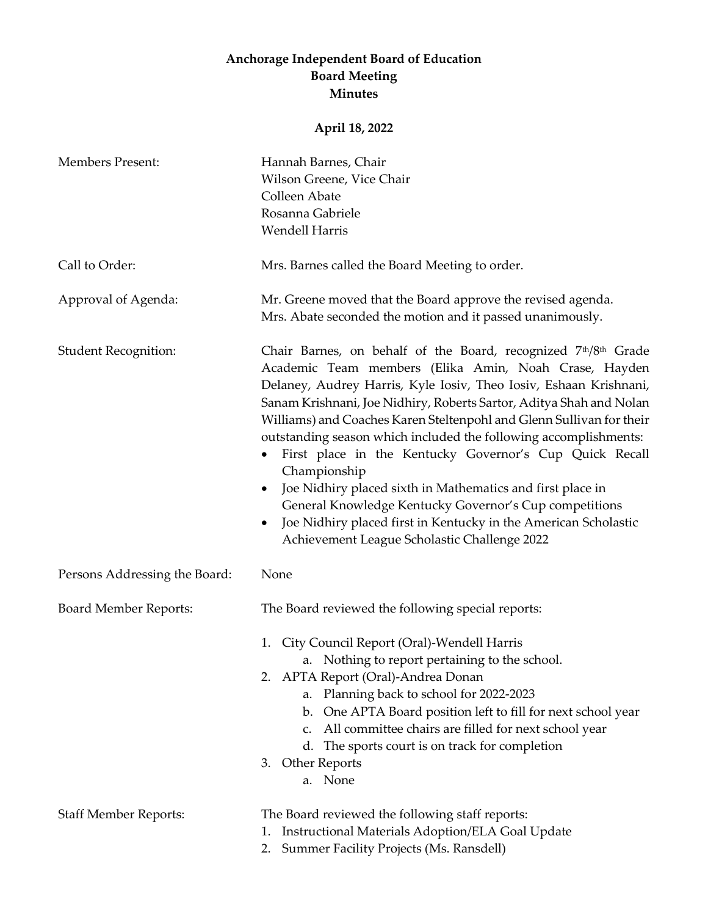## **Anchorage Independent Board of Education Board Meeting Minutes**

## **April 18, 2022**

| <b>Members Present:</b>       | Hannah Barnes, Chair<br>Wilson Greene, Vice Chair<br>Colleen Abate<br>Rosanna Gabriele<br><b>Wendell Harris</b>                                                                                                                                                                                                                                                                                                                                                                                                                                                                                                                                                                                                                                                                          |
|-------------------------------|------------------------------------------------------------------------------------------------------------------------------------------------------------------------------------------------------------------------------------------------------------------------------------------------------------------------------------------------------------------------------------------------------------------------------------------------------------------------------------------------------------------------------------------------------------------------------------------------------------------------------------------------------------------------------------------------------------------------------------------------------------------------------------------|
| Call to Order:                | Mrs. Barnes called the Board Meeting to order.                                                                                                                                                                                                                                                                                                                                                                                                                                                                                                                                                                                                                                                                                                                                           |
| Approval of Agenda:           | Mr. Greene moved that the Board approve the revised agenda.<br>Mrs. Abate seconded the motion and it passed unanimously.                                                                                                                                                                                                                                                                                                                                                                                                                                                                                                                                                                                                                                                                 |
| <b>Student Recognition:</b>   | Chair Barnes, on behalf of the Board, recognized 7 <sup>th</sup> /8 <sup>th</sup> Grade<br>Academic Team members (Elika Amin, Noah Crase, Hayden<br>Delaney, Audrey Harris, Kyle Iosiv, Theo Iosiv, Eshaan Krishnani,<br>Sanam Krishnani, Joe Nidhiry, Roberts Sartor, Aditya Shah and Nolan<br>Williams) and Coaches Karen Steltenpohl and Glenn Sullivan for their<br>outstanding season which included the following accomplishments:<br>First place in the Kentucky Governor's Cup Quick Recall<br>Championship<br>Joe Nidhiry placed sixth in Mathematics and first place in<br>$\bullet$<br>General Knowledge Kentucky Governor's Cup competitions<br>Joe Nidhiry placed first in Kentucky in the American Scholastic<br>$\bullet$<br>Achievement League Scholastic Challenge 2022 |
| Persons Addressing the Board: | None                                                                                                                                                                                                                                                                                                                                                                                                                                                                                                                                                                                                                                                                                                                                                                                     |
| <b>Board Member Reports:</b>  | The Board reviewed the following special reports:<br>City Council Report (Oral)-Wendell Harris<br>1.<br>a. Nothing to report pertaining to the school.<br>2. APTA Report (Oral)-Andrea Donan<br>a. Planning back to school for 2022-2023<br>b. One APTA Board position left to fill for next school year<br>All committee chairs are filled for next school year<br>C.<br>d. The sports court is on track for completion<br>Other Reports<br>3.<br>a. None                                                                                                                                                                                                                                                                                                                               |
| <b>Staff Member Reports:</b>  | The Board reviewed the following staff reports:<br>Instructional Materials Adoption/ELA Goal Update<br>1.<br>Summer Facility Projects (Ms. Ransdell)<br>2.                                                                                                                                                                                                                                                                                                                                                                                                                                                                                                                                                                                                                               |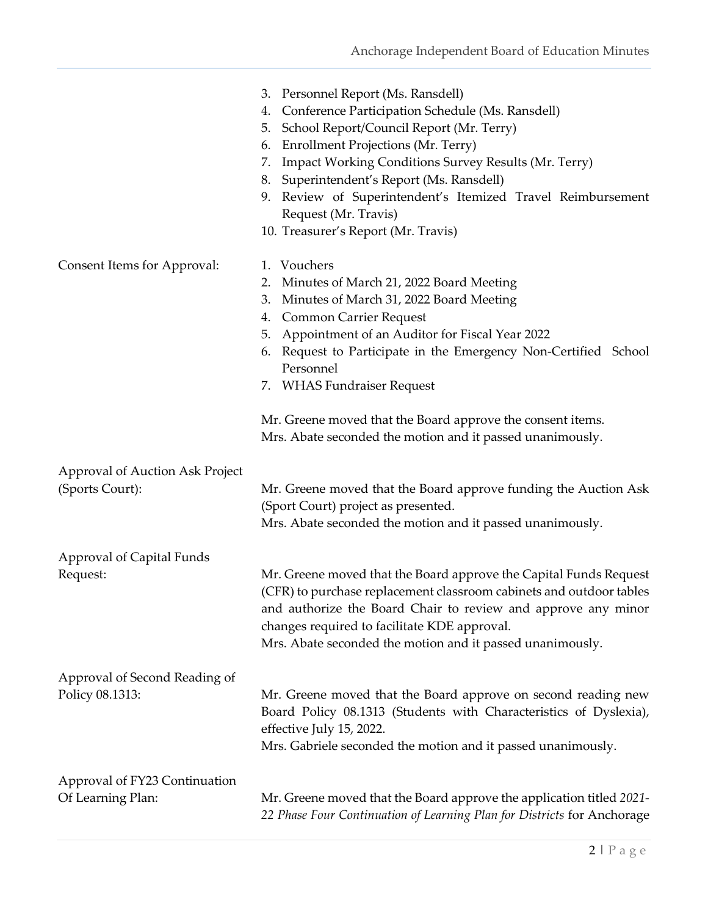|                                                    | 3. Personnel Report (Ms. Ransdell)<br>Conference Participation Schedule (Ms. Ransdell)<br>4.<br>School Report/Council Report (Mr. Terry)<br>5.<br><b>Enrollment Projections (Mr. Terry)</b><br>6.<br><b>Impact Working Conditions Survey Results (Mr. Terry)</b><br>7.<br>Superintendent's Report (Ms. Ransdell)<br>8.<br>Review of Superintendent's Itemized Travel Reimbursement<br>9.<br>Request (Mr. Travis)<br>10. Treasurer's Report (Mr. Travis)  |
|----------------------------------------------------|----------------------------------------------------------------------------------------------------------------------------------------------------------------------------------------------------------------------------------------------------------------------------------------------------------------------------------------------------------------------------------------------------------------------------------------------------------|
| Consent Items for Approval:                        | 1. Vouchers<br>Minutes of March 21, 2022 Board Meeting<br>2.<br>Minutes of March 31, 2022 Board Meeting<br>3.<br><b>Common Carrier Request</b><br>4.<br>Appointment of an Auditor for Fiscal Year 2022<br>5.<br>Request to Participate in the Emergency Non-Certified School<br>6.<br>Personnel<br>7. WHAS Fundraiser Request<br>Mr. Greene moved that the Board approve the consent items.<br>Mrs. Abate seconded the motion and it passed unanimously. |
| Approval of Auction Ask Project<br>(Sports Court): | Mr. Greene moved that the Board approve funding the Auction Ask<br>(Sport Court) project as presented.<br>Mrs. Abate seconded the motion and it passed unanimously.                                                                                                                                                                                                                                                                                      |
| Approval of Capital Funds<br>Request:              | Mr. Greene moved that the Board approve the Capital Funds Request<br>(CFR) to purchase replacement classroom cabinets and outdoor tables<br>and authorize the Board Chair to review and approve any minor<br>changes required to facilitate KDE approval.<br>Mrs. Abate seconded the motion and it passed unanimously.                                                                                                                                   |
| Approval of Second Reading of<br>Policy 08.1313:   | Mr. Greene moved that the Board approve on second reading new<br>Board Policy 08.1313 (Students with Characteristics of Dyslexia),<br>effective July 15, 2022.<br>Mrs. Gabriele seconded the motion and it passed unanimously.                                                                                                                                                                                                                           |
| Approval of FY23 Continuation<br>Of Learning Plan: | Mr. Greene moved that the Board approve the application titled 2021-<br>22 Phase Four Continuation of Learning Plan for Districts for Anchorage                                                                                                                                                                                                                                                                                                          |